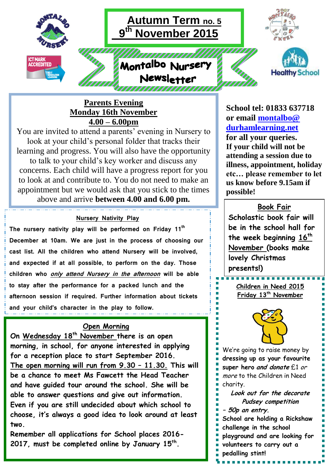

## **Parents Evening Monday 16th November 4.00 – 6.00pm**

You are invited to attend a parents' evening in Nursery to look at your child's personal folder that tracks their learning and progress. You will also have the opportunity to talk to your child's key worker and discuss any concerns. Each child will have a progress report for you to look at and contribute to. You do not need to make an appointment but we would ask that you stick to the times above and arrive **between 4.00 and 6.00 pm.**

## **Nursery Nativity Play**

**The nursery nativity play will be performed on Friday 11th December at 10am. We are just in the process of choosing our cast list. All the children who attend Nursery will be involved, and expected if at all possible, to perform on the day. Those children who only attend Nursery in the afternoon will be able to stay after the performance for a packed lunch and the afternoon session if required. Further information about tickets and your child's character in the play to follow.** 

## **Open Morning**

**On Wednesday 18th November there is an open morning, in school, for anyone interested in applying for a reception place to start September 2016. The open morning will run from 9.30 – 11.30. This will be a chance to meet Ms Fawcett the Head Teacher and have guided tour around the school. She will be able to answer questions and give out information. Even if you are still undecided about which school to choose, it's always a good idea to look around at least two.**

**Remember all applications for School places 2016- 2017, must be completed online by January 15th .**

**School tel: 01833 637718 or email [montalbo@](mailto:montalbo@durhamlearning.net)  [durhamlearning.net](mailto:montalbo@durhamlearning.net) for all your queries. If your child will not be attending a session due to illness, appointment, holiday etc… please remember to let us know before 9.15am if possible!**

**Book Fair Scholastic book fair will be in the school hall for the week beginning 16th November (books make lovely Christmas presents!)**

**Children in Need 2015 Friday 13th November**

-------------



We're going to raise money by **dressing up as your favourite super hero and donate** £1 or more to the Children in Need charity.

**Look out for the decorate Pudsey competition**

- **– 50p an entry.**
- **School are holding a Rickshaw challenge in the school**
- **playground and are looking for**
- **volunteers to carry out a**
- **pedalling stint!**